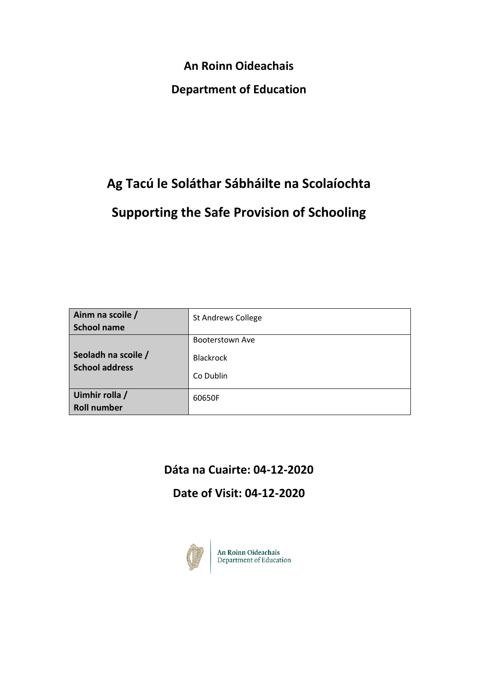**An Roinn Oideachais**

## **Department of Education**

# **Ag Tacú le Soláthar Sábháilte na Scolaíochta Supporting the Safe Provision of Schooling**

| Ainm na scoile /<br><b>School name</b>       | <b>St Andrews College</b>                        |
|----------------------------------------------|--------------------------------------------------|
| Seoladh na scoile /<br><b>School address</b> | Booterstown Ave<br><b>Blackrock</b><br>Co Dublin |
| Uimhir rolla /<br><b>Roll number</b>         | 60650F                                           |

# **Dáta na Cuairte: 04-12-2020**

**Date of Visit: 04-12-2020**



An Roinn Oideachais<br>Department of Education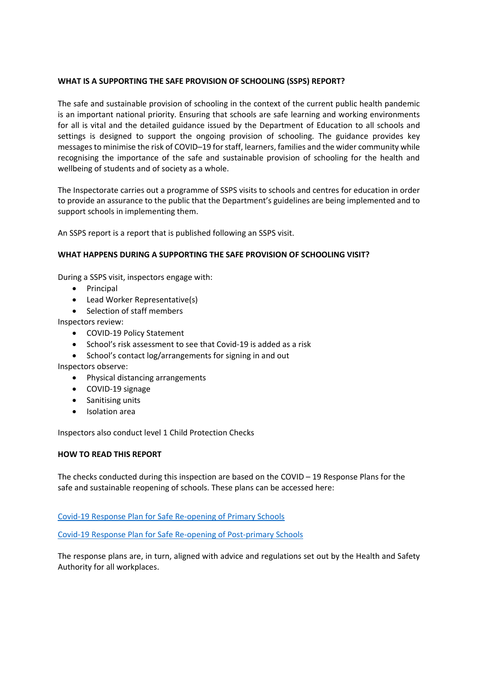## **WHAT IS A SUPPORTING THE SAFE PROVISION OF SCHOOLING (SSPS) REPORT?**

The safe and sustainable provision of schooling in the context of the current public health pandemic is an important national priority. Ensuring that schools are safe learning and working environments for all is vital and the detailed guidance issued by the Department of Education to all schools and settings is designed to support the ongoing provision of schooling. The guidance provides key messages to minimise the risk of COVID–19 for staff, learners, families and the wider community while recognising the importance of the safe and sustainable provision of schooling for the health and wellbeing of students and of society as a whole.

The Inspectorate carries out a programme of SSPS visits to schools and centres for education in order to provide an assurance to the public that the Department's guidelines are being implemented and to support schools in implementing them.

An SSPS report is a report that is published following an SSPS visit.

#### **WHAT HAPPENS DURING A SUPPORTING THE SAFE PROVISION OF SCHOOLING VISIT?**

During a SSPS visit, inspectors engage with:

- Principal
- Lead Worker Representative(s)
- Selection of staff members

Inspectors review:

- COVID-19 Policy Statement
- School's risk assessment to see that Covid-19 is added as a risk
- School's contact log/arrangements for signing in and out

Inspectors observe:

- Physical distancing arrangements
- COVID-19 signage
- Sanitising units
- Isolation area

Inspectors also conduct level 1 Child Protection Checks

#### **HOW TO READ THIS REPORT**

The checks conducted during this inspection are based on the COVID – 19 Response Plans for the safe and sustainable reopening of schools. These plans can be accessed here:

Covid-19 Response Plan for Safe Re-opening of Primary Schools

Covid-19 Response Plan for Safe Re-opening of Post-primary Schools

The response plans are, in turn, aligned with advice and regulations set out by the Health and Safety Authority for all workplaces.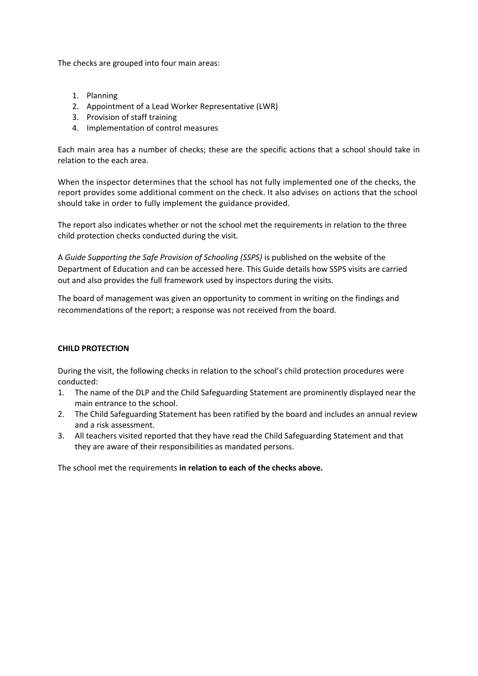The checks are grouped into four main areas:

- 1. Planning
- 2. Appointment of a Lead Worker Representative (LWR)
- 3. Provision of staff training
- 4. Implementation of control measures

Each main area has a number of checks; these are the specific actions that a school should take in relation to the each area.

When the inspector determines that the school has not fully implemented one of the checks, the report provides some additional comment on the check. It also advises on actions that the school should take in order to fully implement the guidance provided.

The report also indicates whether or not the school met the requirements in relation to the three child protection checks conducted during the visit.

A *Guide Supporting the Safe Provision of Schooling (SSPS)* is published on the website of the Department of Education and can be accessed here. This Guide details how SSPS visits are carried out and also provides the full framework used by inspectors during the visits.

The board of management was given an opportunity to comment in writing on the findings and recommendations of the report; a response was not received from the board.

## **CHILD PROTECTION**

During the visit, the following checks in relation to the school's child protection procedures were conducted:

- 1. The name of the DLP and the Child Safeguarding Statement are prominently displayed near the main entrance to the school.
- 2. The Child Safeguarding Statement has been ratified by the board and includes an annual review and a risk assessment.
- 3. All teachers visited reported that they have read the Child Safeguarding Statement and that they are aware of their responsibilities as mandated persons.

The school met the requirements **in relation to each of the checks above.**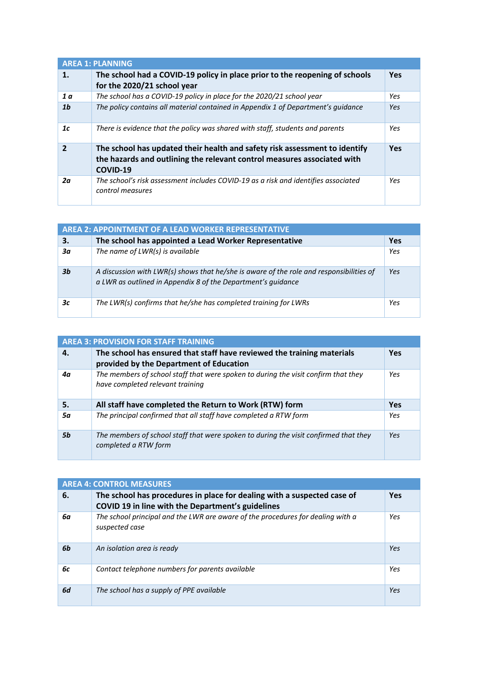| <b>AREA 1: PLANNING</b> |                                                                                                                                                                   |            |
|-------------------------|-------------------------------------------------------------------------------------------------------------------------------------------------------------------|------------|
| 1.                      | The school had a COVID-19 policy in place prior to the reopening of schools<br>for the 2020/21 school year                                                        | <b>Yes</b> |
| 1 <sub>a</sub>          | The school has a COVID-19 policy in place for the 2020/21 school year                                                                                             | Yes        |
| 1b                      | The policy contains all material contained in Appendix 1 of Department's quidance                                                                                 | Yes        |
| 1c                      | There is evidence that the policy was shared with staff, students and parents                                                                                     | Yes        |
| $\mathbf{2}$            | The school has updated their health and safety risk assessment to identify<br>the hazards and outlining the relevant control measures associated with<br>COVID-19 | <b>Yes</b> |
| 2α                      | The school's risk assessment includes COVID-19 as a risk and identifies associated<br>control measures                                                            | Yes        |

| AREA 2: APPOINTMENT OF A LEAD WORKER REPRESENTATIVE |                                                                                                                                                         |     |
|-----------------------------------------------------|---------------------------------------------------------------------------------------------------------------------------------------------------------|-----|
| 3.                                                  | The school has appointed a Lead Worker Representative                                                                                                   | Yes |
| Зα                                                  | The name of LWR(s) is available                                                                                                                         | Yes |
| 3b                                                  | A discussion with LWR(s) shows that he/she is aware of the role and responsibilities of<br>a LWR as outlined in Appendix 8 of the Department's guidance | Yes |
| Зс                                                  | The LWR(s) confirms that he/she has completed training for LWRs                                                                                         | Yes |

| <b>AREA 3: PROVISION FOR STAFF TRAINING</b> |                                                                                                                        |            |
|---------------------------------------------|------------------------------------------------------------------------------------------------------------------------|------------|
| 4.                                          | The school has ensured that staff have reviewed the training materials<br>provided by the Department of Education      | <b>Yes</b> |
| 4α                                          | The members of school staff that were spoken to during the visit confirm that they<br>have completed relevant training | Yes        |
| 5.                                          | All staff have completed the Return to Work (RTW) form                                                                 | Yes        |
| 5α                                          | The principal confirmed that all staff have completed a RTW form                                                       | Yes        |
| 5b                                          | The members of school staff that were spoken to during the visit confirmed that they<br>completed a RTW form           | Yes        |

| <b>AREA 4: CONTROL MEASURES</b> |                                                                                                                              |     |
|---------------------------------|------------------------------------------------------------------------------------------------------------------------------|-----|
| 6.                              | The school has procedures in place for dealing with a suspected case of<br>COVID 19 in line with the Department's guidelines | Yes |
| 6а                              | The school principal and the LWR are aware of the procedures for dealing with a<br>suspected case                            | Yes |
| 6b                              | An isolation area is ready                                                                                                   | Yes |
| 6c                              | Contact telephone numbers for parents available                                                                              | Yes |
| 6d                              | The school has a supply of PPE available                                                                                     | Yes |